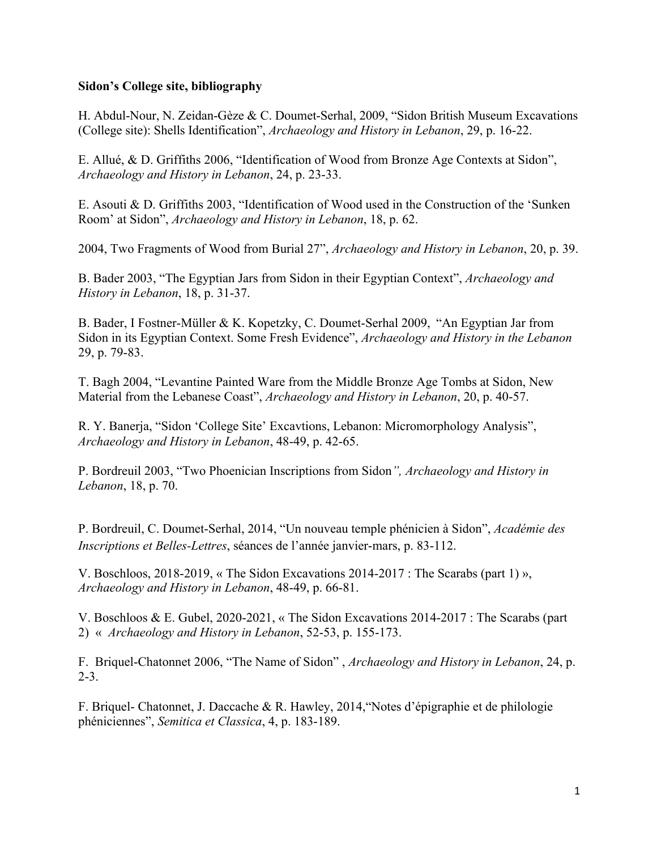## **Sidon's College site, bibliography**

H. Abdul-Nour, N. Zeidan-Gèze & C. Doumet-Serhal, 2009, "Sidon British Museum Excavations (College site): Shells Identification", *Archaeology and History in Lebanon*, 29, p. 16-22.

E. Allué, & D. Griffiths 2006, "Identification of Wood from Bronze Age Contexts at Sidon", *Archaeology and History in Lebanon*, 24, p. 23-33.

E. Asouti & D. Griffiths 2003, "Identification of Wood used in the Construction of the 'Sunken Room' at Sidon", *Archaeology and History in Lebanon*, 18, p. 62.

2004, Two Fragments of Wood from Burial 27", *Archaeology and History in Lebanon*, 20, p. 39.

B. Bader 2003, "The Egyptian Jars from Sidon in their Egyptian Context", *Archaeology and History in Lebanon*, 18, p. 31-37.

B. Bader, I Fostner-Müller & K. Kopetzky, C. Doumet-Serhal 2009, "An Egyptian Jar from Sidon in its Egyptian Context. Some Fresh Evidence", *Archaeology and History in the Lebanon*  29, p. 79-83.

T. Bagh 2004, "Levantine Painted Ware from the Middle Bronze Age Tombs at Sidon, New Material from the Lebanese Coast", *Archaeology and History in Lebanon*, 20, p. 40-57.

R. Y. Banerja, "Sidon 'College Site' Excavtions, Lebanon: Micromorphology Analysis", *Archaeology and History in Lebanon*, 48-49, p. 42-65.

P. Bordreuil 2003, "Two Phoenician Inscriptions from Sidon*", Archaeology and History in Lebanon*, 18, p. 70.

P. Bordreuil, C. Doumet-Serhal, 2014, "Un nouveau temple phénicien à Sidon", *Académie des Inscriptions et Belles-Lettres*, séances de l'année janvier-mars, p. 83-112.

V. Boschloos, 2018-2019, « The Sidon Excavations 2014-2017 : The Scarabs (part 1) », *Archaeology and History in Lebanon*, 48-49, p. 66-81.

V. Boschloos & E. Gubel, 2020-2021, « The Sidon Excavations 2014-2017 : The Scarabs (part 2) « *Archaeology and History in Lebanon*, 52-53, p. 155-173.

F. Briquel-Chatonnet 2006, "The Name of Sidon" , *Archaeology and History in Lebanon*, 24, p.  $2 - 3$ .

F. Briquel- Chatonnet, J. Daccache & R. Hawley, 2014,"Notes d'épigraphie et de philologie phéniciennes", *Semitica et Classica*, 4, p. 183-189.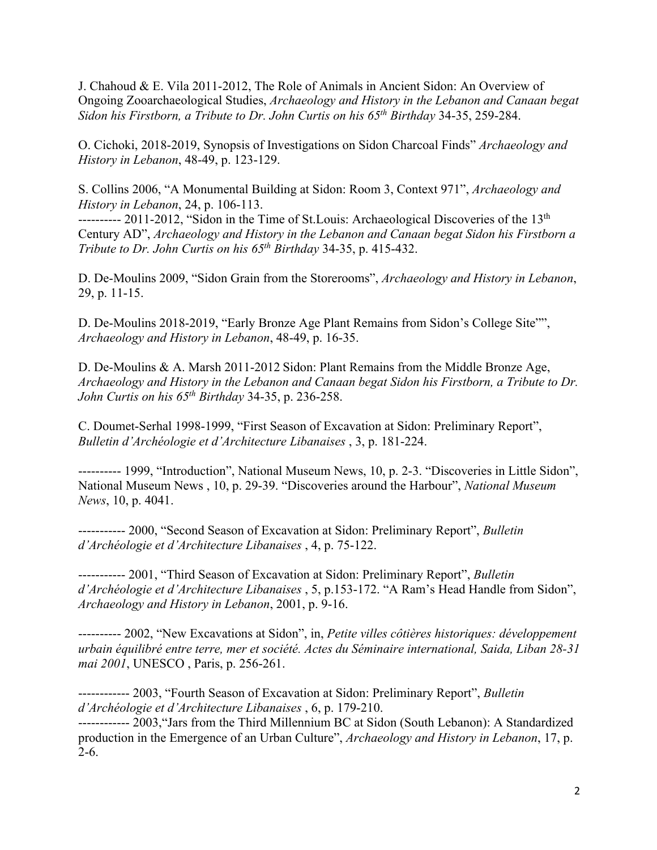J. Chahoud & E. Vila 2011-2012, The Role of Animals in Ancient Sidon: An Overview of Ongoing Zooarchaeological Studies, *Archaeology and History in the Lebanon and Canaan begat Sidon his Firstborn, a Tribute to Dr. John Curtis on his 65th Birthday* 34-35, 259-284.

O. Cichoki, 2018-2019, Synopsis of Investigations on Sidon Charcoal Finds" *Archaeology and History in Lebanon*, 48-49, p. 123-129.

S. Collins 2006, "A Monumental Building at Sidon: Room 3, Context 971", *Archaeology and History in Lebanon*, 24, p. 106-113.

---------- 2011-2012, "Sidon in the Time of St. Louis: Archaeological Discoveries of the 13<sup>th</sup> Century AD", *Archaeology and History in the Lebanon and Canaan begat Sidon his Firstborn a Tribute to Dr. John Curtis on his 65th Birthday* 34-35, p. 415-432.

D. De-Moulins 2009, "Sidon Grain from the Storerooms", *Archaeology and History in Lebanon*, 29, p. 11-15.

D. De-Moulins 2018-2019, "Early Bronze Age Plant Remains from Sidon's College Site"", *Archaeology and History in Lebanon*, 48-49, p. 16-35.

D. De-Moulins & A. Marsh 2011-2012 Sidon: Plant Remains from the Middle Bronze Age, *Archaeology and History in the Lebanon and Canaan begat Sidon his Firstborn, a Tribute to Dr. John Curtis on his 65th Birthday* 34-35, p. 236-258.

C. Doumet-Serhal 1998-1999, "First Season of Excavation at Sidon: Preliminary Report", *Bulletin d'Archéologie et d'Architecture Libanaises* , 3, p. 181-224.

---------- 1999, "Introduction", National Museum News, 10, p. 2-3. "Discoveries in Little Sidon", National Museum News , 10, p. 29-39. "Discoveries around the Harbour", *National Museum News*, 10, p. 4041.

----------- 2000, "Second Season of Excavation at Sidon: Preliminary Report", *Bulletin d'Archéologie et d'Architecture Libanaises* , 4, p. 75-122.

----------- 2001, "Third Season of Excavation at Sidon: Preliminary Report", *Bulletin d'Archéologie et d'Architecture Libanaises* , 5, p.153-172. "A Ram's Head Handle from Sidon", *Archaeology and History in Lebanon*, 2001, p. 9-16.

---------- 2002, "New Excavations at Sidon", in, *Petite villes côtières historiques: développement urbain équilibré entre terre, mer et société. Actes du Séminaire international, Saida, Liban 28-31 mai 2001*, UNESCO , Paris, p. 256-261.

------------ 2003, "Fourth Season of Excavation at Sidon: Preliminary Report", *Bulletin d'Archéologie et d'Architecture Libanaises* , 6, p. 179-210.

------------ 2003,"Jars from the Third Millennium BC at Sidon (South Lebanon): A Standardized production in the Emergence of an Urban Culture", *Archaeology and History in Lebanon*, 17, p. 2-6.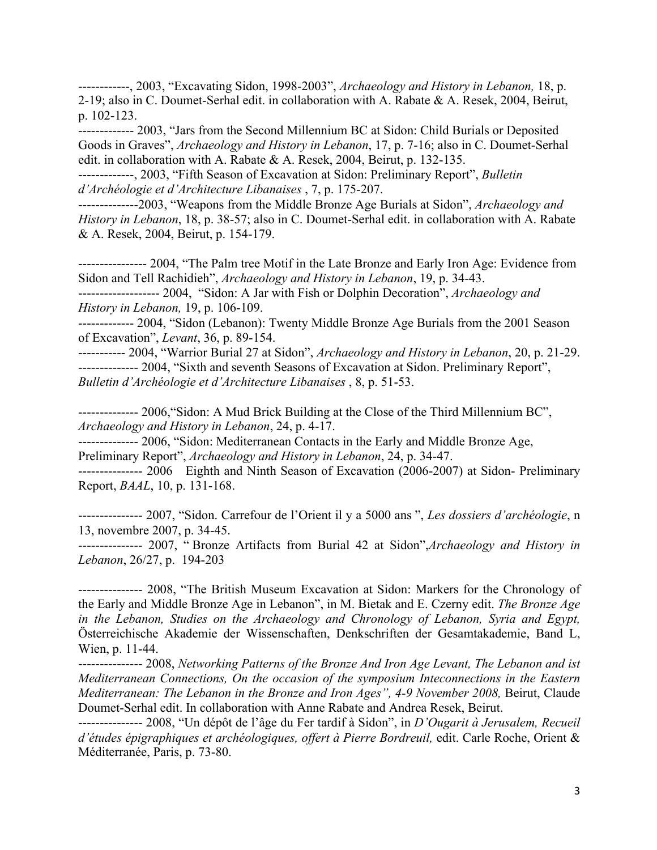------------, 2003, "Excavating Sidon, 1998-2003", *Archaeology and History in Lebanon,* 18, p. 2-19; also in C. Doumet-Serhal edit. in collaboration with A. Rabate & A. Resek, 2004, Beirut, p. 102-123.

------------- 2003, "Jars from the Second Millennium BC at Sidon: Child Burials or Deposited Goods in Graves", *Archaeology and History in Lebanon*, 17, p. 7-16; also in C. Doumet-Serhal edit. in collaboration with A. Rabate & A. Resek, 2004, Beirut, p. 132-135.

-------------, 2003, "Fifth Season of Excavation at Sidon: Preliminary Report", *Bulletin d'Archéologie et d'Architecture Libanaises* , 7, p. 175-207.

--------------2003, "Weapons from the Middle Bronze Age Burials at Sidon", *Archaeology and History in Lebanon*, 18, p. 38-57; also in C. Doumet-Serhal edit. in collaboration with A. Rabate & A. Resek, 2004, Beirut, p. 154-179.

---------------- 2004, "The Palm tree Motif in the Late Bronze and Early Iron Age: Evidence from Sidon and Tell Rachidieh", *Archaeology and History in Lebanon*, 19, p. 34-43.

------------------- 2004, "Sidon: A Jar with Fish or Dolphin Decoration", *Archaeology and History in Lebanon,* 19, p. 106-109.

------------- 2004, "Sidon (Lebanon): Twenty Middle Bronze Age Burials from the 2001 Season of Excavation", *Levant*, 36, p. 89-154.

----------- 2004, "Warrior Burial 27 at Sidon", *Archaeology and History in Lebanon*, 20, p. 21-29. -------------- 2004, "Sixth and seventh Seasons of Excavation at Sidon. Preliminary Report", *Bulletin d'Archéologie et d'Architecture Libanaises* , 8, p. 51-53.

-------------- 2006,"Sidon: A Mud Brick Building at the Close of the Third Millennium BC", *Archaeology and History in Lebanon*, 24, p. 4-17.

-------------- 2006, "Sidon: Mediterranean Contacts in the Early and Middle Bronze Age, Preliminary Report", *Archaeology and History in Lebanon*, 24, p. 34-47.

--------------- 2006 Eighth and Ninth Season of Excavation (2006-2007) at Sidon- Preliminary Report, *BAAL*, 10, p. 131-168.

--------------- 2007, "Sidon. Carrefour de l'Orient il y a 5000 ans ", *Les dossiers d'archéologie*, n 13, novembre 2007, p. 34-45.

--------------- 2007, " Bronze Artifacts from Burial 42 at Sidon",*Archaeology and History in Lebanon*, 26/27, p. 194-203

--------------- 2008, "The British Museum Excavation at Sidon: Markers for the Chronology of the Early and Middle Bronze Age in Lebanon", in M. Bietak and E. Czerny edit. *The Bronze Age in the Lebanon, Studies on the Archaeology and Chronology of Lebanon, Syria and Egypt,* Österreichische Akademie der Wissenschaften, Denkschriften der Gesamtakademie, Band L, Wien, p. 11-44.

--------------- 2008, *Networking Patterns of the Bronze And Iron Age Levant, The Lebanon and ist Mediterranean Connections, On the occasion of the symposium Inteconnections in the Eastern Mediterranean: The Lebanon in the Bronze and Iron Ages", 4-9 November 2008,* Beirut, Claude Doumet-Serhal edit. In collaboration with Anne Rabate and Andrea Resek, Beirut.

--------------- 2008, "Un dépôt de l'âge du Fer tardif à Sidon", in *D'Ougarit à Jerusalem, Recueil d'études épigraphiques et archéologiques, offert à Pierre Bordreuil,* edit. Carle Roche, Orient & Méditerranée, Paris, p. 73-80.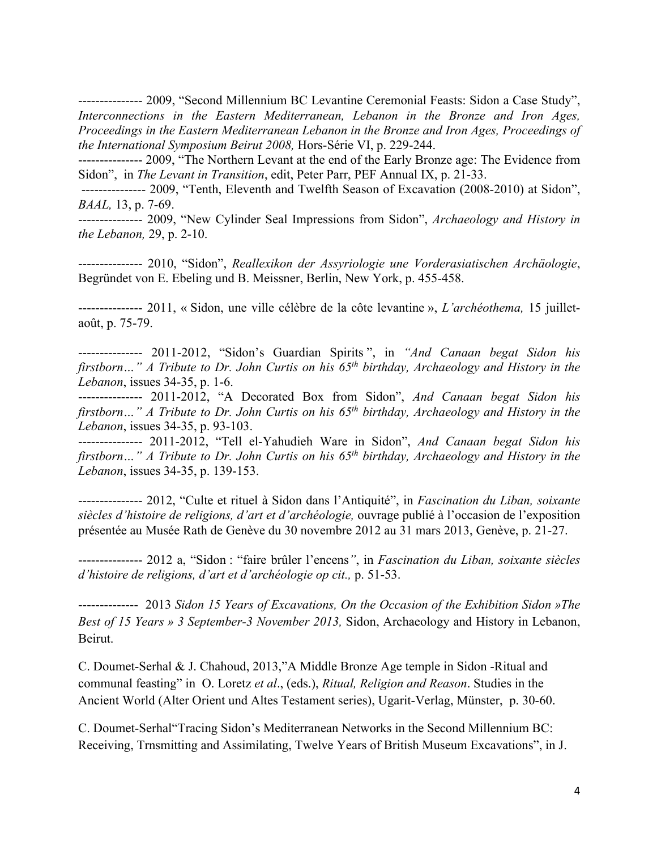--------------- 2009, "Second Millennium BC Levantine Ceremonial Feasts: Sidon a Case Study", *Interconnections in the Eastern Mediterranean, Lebanon in the Bronze and Iron Ages, Proceedings in the Eastern Mediterranean Lebanon in the Bronze and Iron Ages, Proceedings of the International Symposium Beirut 2008,* Hors-Série VI, p. 229-244.

--------------- 2009, "The Northern Levant at the end of the Early Bronze age: The Evidence from Sidon", in *The Levant in Transition*, edit, Peter Parr, PEF Annual IX, p. 21-33.

--------------- 2009, "Tenth, Eleventh and Twelfth Season of Excavation (2008-2010) at Sidon", *BAAL,* 13, p. 7-69.

--------------- 2009, "New Cylinder Seal Impressions from Sidon", *Archaeology and History in the Lebanon,* 29, p. 2-10.

--------------- 2010, "Sidon", *Reallexikon der Assyriologie une Vorderasiatischen Archäologie*, Begründet von E. Ebeling und B. Meissner, Berlin, New York, p. 455-458.

--------------- 2011, « Sidon, une ville célèbre de la côte levantine », *L'archéothema,* 15 juilletaoût, p. 75-79.

--------------- 2011-2012, "Sidon's Guardian Spirits ", in *"And Canaan begat Sidon his firstborn…" A Tribute to Dr. John Curtis on his 65th birthday, Archaeology and History in the Lebanon*, issues 34-35, p. 1-6.

--------------- 2011-2012, "A Decorated Box from Sidon", *And Canaan begat Sidon his firstborn…" A Tribute to Dr. John Curtis on his 65th birthday, Archaeology and History in the Lebanon*, issues 34-35, p. 93-103.

--------------- 2011-2012, "Tell el-Yahudieh Ware in Sidon", *And Canaan begat Sidon his firstborn…" A Tribute to Dr. John Curtis on his 65th birthday, Archaeology and History in the Lebanon*, issues 34-35, p. 139-153.

--------------- 2012, "Culte et rituel à Sidon dans l'Antiquité", in *Fascination du Liban, soixante siècles d'histoire de religions, d'art et d'archéologie,* ouvrage publié à l'occasion de l'exposition présentée au Musée Rath de Genève du 30 novembre 2012 au 31 mars 2013, Genève, p. 21-27.

--------------- 2012 a, "Sidon : "faire brûler l'encens*"*, in *Fascination du Liban, soixante siècles d'histoire de religions, d'art et d'archéologie op cit.,* p. 51-53.

-------------- 2013 *Sidon 15 Years of Excavations, On the Occasion of the Exhibition Sidon »The Best of 15 Years » 3 September-3 November 2013,* Sidon, Archaeology and History in Lebanon, Beirut.

C. Doumet-Serhal & J. Chahoud, 2013,"A Middle Bronze Age temple in Sidon -Ritual and communal feasting" in O. Loretz *et al*., (eds.), *Ritual, Religion and Reason*. Studies in the Ancient World (Alter Orient und Altes Testament series), Ugarit-Verlag, Münster, p. 30-60.

C. Doumet-Serhal"Tracing Sidon's Mediterranean Networks in the Second Millennium BC: Receiving, Trnsmitting and Assimilating, Twelve Years of British Museum Excavations", in J.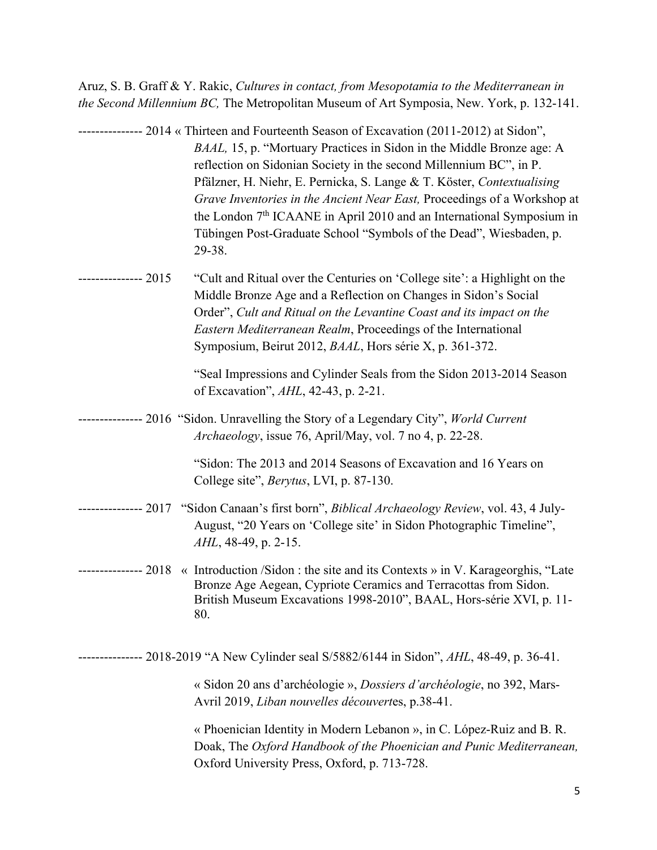Aruz, S. B. Graff & Y. Rakic, *Cultures in contact, from Mesopotamia to the Mediterranean in the Second Millennium BC,* The Metropolitan Museum of Art Symposia, New. York, p. 132-141.

|                                                                                          | --------------- 2014 « Thirteen and Fourteenth Season of Excavation (2011-2012) at Sidon",<br>BAAL, 15, p. "Mortuary Practices in Sidon in the Middle Bronze age: A<br>reflection on Sidonian Society in the second Millennium BC", in P.<br>Pfälzner, H. Niehr, E. Pernicka, S. Lange & T. Köster, Contextualising<br>Grave Inventories in the Ancient Near East, Proceedings of a Workshop at<br>the London 7 <sup>th</sup> ICAANE in April 2010 and an International Symposium in<br>Tübingen Post-Graduate School "Symbols of the Dead", Wiesbaden, p.<br>29-38. |
|------------------------------------------------------------------------------------------|----------------------------------------------------------------------------------------------------------------------------------------------------------------------------------------------------------------------------------------------------------------------------------------------------------------------------------------------------------------------------------------------------------------------------------------------------------------------------------------------------------------------------------------------------------------------|
| --------------- 2015                                                                     | "Cult and Ritual over the Centuries on 'College site': a Highlight on the<br>Middle Bronze Age and a Reflection on Changes in Sidon's Social<br>Order", Cult and Ritual on the Levantine Coast and its impact on the<br>Eastern Mediterranean Realm, Proceedings of the International<br>Symposium, Beirut 2012, BAAL, Hors série X, p. 361-372.                                                                                                                                                                                                                     |
|                                                                                          | "Seal Impressions and Cylinder Seals from the Sidon 2013-2014 Season<br>of Excavation", AHL, 42-43, p. 2-21.                                                                                                                                                                                                                                                                                                                                                                                                                                                         |
|                                                                                          | -------------- 2016 "Sidon. Unravelling the Story of a Legendary City", World Current<br>Archaeology, issue 76, April/May, vol. 7 no 4, p. 22-28.                                                                                                                                                                                                                                                                                                                                                                                                                    |
|                                                                                          | "Sidon: The 2013 and 2014 Seasons of Excavation and 16 Years on<br>College site", <i>Berytus</i> , LVI, p. 87-130.                                                                                                                                                                                                                                                                                                                                                                                                                                                   |
|                                                                                          | ------------- 2017 "Sidon Canaan's first born", <i>Biblical Archaeology Review</i> , vol. 43, 4 July-<br>August, "20 Years on 'College site' in Sidon Photographic Timeline",<br>AHL, 48-49, p. 2-15.                                                                                                                                                                                                                                                                                                                                                                |
| ------------- 2018                                                                       | « Introduction /Sidon : the site and its Contexts » in V. Karageorghis, "Late<br>Bronze Age Aegean, Cypriote Ceramics and Terracottas from Sidon.<br>British Museum Excavations 1998-2010", BAAL, Hors-série XVI, p. 11-<br>80.                                                                                                                                                                                                                                                                                                                                      |
| ------------ 2018-2019 "A New Cylinder seal S/5882/6144 in Sidon", AHL, 48-49, p. 36-41. |                                                                                                                                                                                                                                                                                                                                                                                                                                                                                                                                                                      |
|                                                                                          | « Sidon 20 ans d'archéologie », Dossiers d'archéologie, no 392, Mars-<br>Avril 2019, Liban nouvelles découvertes, p.38-41.                                                                                                                                                                                                                                                                                                                                                                                                                                           |
|                                                                                          | « Phoenician Identity in Modern Lebanon », in C. López-Ruiz and B. R.<br>Doak, The Oxford Handbook of the Phoenician and Punic Mediterranean,<br>Oxford University Press, Oxford, p. 713-728.                                                                                                                                                                                                                                                                                                                                                                        |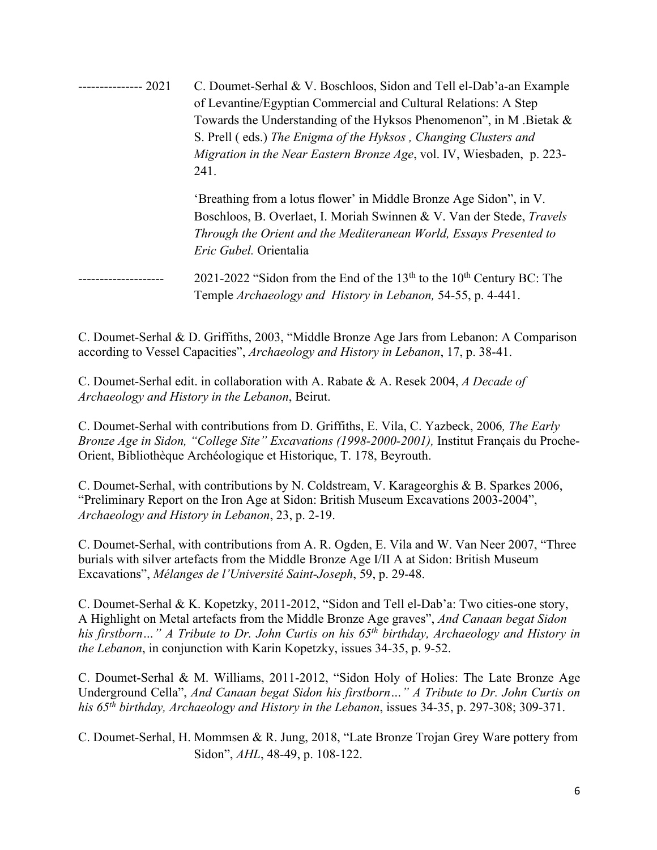--------------- 2021 C. Doumet-Serhal & V. Boschloos, Sidon and Tell el-Dab'a-an Example of Levantine/Egyptian Commercial and Cultural Relations: A Step Towards the Understanding of the Hyksos Phenomenon", in M .Bietak & S. Prell ( eds.) *The Enigma of the Hyksos , Changing Clusters and Migration in the Near Eastern Bronze Age*, vol. IV, Wiesbaden, p. 223- 241.

'Breathing from a lotus flower' in Middle Bronze Age Sidon", in V. Boschloos, B. Overlaet, I. Moriah Swinnen & V. Van der Stede, *Travels Through the Orient and the Mediteranean World, Essays Presented to Eric Gubel.* Orientalia

 $2021$ -2022 "Sidon from the End of the 13<sup>th</sup> to the 10<sup>th</sup> Century BC: The Temple *Archaeology and History in Lebanon,* 54-55, p. 4-441.

C. Doumet-Serhal & D. Griffiths, 2003, "Middle Bronze Age Jars from Lebanon: A Comparison according to Vessel Capacities", *Archaeology and History in Lebanon*, 17, p. 38-41.

C. Doumet-Serhal edit. in collaboration with A. Rabate & A. Resek 2004, *A Decade of Archaeology and History in the Lebanon*, Beirut.

C. Doumet-Serhal with contributions from D. Griffiths, E. Vila, C. Yazbeck, 2006*, The Early Bronze Age in Sidon, "College Site" Excavations (1998-2000-2001),* Institut Français du Proche-Orient, Bibliothèque Archéologique et Historique, T. 178, Beyrouth.

C. Doumet-Serhal, with contributions by N. Coldstream, V. Karageorghis & B. Sparkes 2006, "Preliminary Report on the Iron Age at Sidon: British Museum Excavations 2003-2004", *Archaeology and History in Lebanon*, 23, p. 2-19.

C. Doumet-Serhal, with contributions from A. R. Ogden, E. Vila and W. Van Neer 2007, "Three burials with silver artefacts from the Middle Bronze Age I/II A at Sidon: British Museum Excavations", *Mélanges de l'Université Saint-Joseph*, 59, p. 29-48.

C. Doumet-Serhal & K. Kopetzky, 2011-2012, "Sidon and Tell el-Dab'a: Two cities-one story, A Highlight on Metal artefacts from the Middle Bronze Age graves", *And Canaan begat Sidon his firstborn…" A Tribute to Dr. John Curtis on his 65th birthday, Archaeology and History in the Lebanon*, in conjunction with Karin Kopetzky, issues 34-35, p. 9-52.

C. Doumet-Serhal & M. Williams, 2011-2012, "Sidon Holy of Holies: The Late Bronze Age Underground Cella", *And Canaan begat Sidon his firstborn…" A Tribute to Dr. John Curtis on his 65th birthday, Archaeology and History in the Lebanon*, issues 34-35, p. 297-308; 309-371.

C. Doumet-Serhal, H. Mommsen & R. Jung, 2018, "Late Bronze Trojan Grey Ware pottery from Sidon", *AHL*, 48-49, p. 108-122.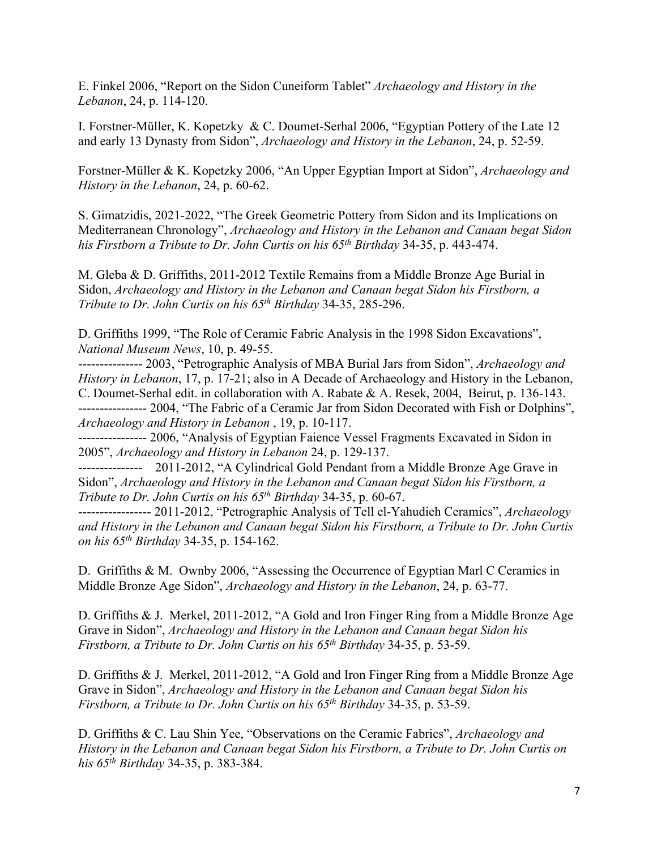E. Finkel 2006, "Report on the Sidon Cuneiform Tablet" *Archaeology and History in the Lebanon*, 24, p. 114-120.

I. Forstner-Müller, K. Kopetzky & C. Doumet-Serhal 2006, "Egyptian Pottery of the Late 12 and early 13 Dynasty from Sidon", *Archaeology and History in the Lebanon*, 24, p. 52-59.

Forstner-Müller & K. Kopetzky 2006, "An Upper Egyptian Import at Sidon", *Archaeology and History in the Lebanon*, 24, p. 60-62.

S. Gimatzidis, 2021-2022, "The Greek Geometric Pottery from Sidon and its Implications on Mediterranean Chronology", *Archaeology and History in the Lebanon and Canaan begat Sidon his Firstborn a Tribute to Dr. John Curtis on his 65th Birthday* 34-35, p. 443-474.

M. Gleba & D. Griffiths, 2011-2012 Textile Remains from a Middle Bronze Age Burial in Sidon, *Archaeology and History in the Lebanon and Canaan begat Sidon his Firstborn, a Tribute to Dr. John Curtis on his 65th Birthday* 34-35, 285-296.

D. Griffiths 1999, "The Role of Ceramic Fabric Analysis in the 1998 Sidon Excavations", *National Museum News*, 10, p. 49-55.

--------------- 2003, "Petrographic Analysis of MBA Burial Jars from Sidon", *Archaeology and History in Lebanon*, 17, p. 17-21; also in A Decade of Archaeology and History in the Lebanon, C. Doumet-Serhal edit. in collaboration with A. Rabate & A. Resek, 2004, Beirut, p. 136-143. ---------------- 2004, "The Fabric of a Ceramic Jar from Sidon Decorated with Fish or Dolphins", *Archaeology and History in Lebanon* , 19, p. 10-117.

---------------- 2006, "Analysis of Egyptian Faience Vessel Fragments Excavated in Sidon in 2005", *Archaeology and History in Lebanon* 24, p. 129-137.

--------------- 2011-2012, "A Cylindrical Gold Pendant from a Middle Bronze Age Grave in Sidon", *Archaeology and History in the Lebanon and Canaan begat Sidon his Firstborn, a Tribute to Dr. John Curtis on his 65th Birthday* 34-35, p. 60-67.

----------------- 2011-2012, "Petrographic Analysis of Tell el-Yahudieh Ceramics", *Archaeology and History in the Lebanon and Canaan begat Sidon his Firstborn, a Tribute to Dr. John Curtis on his 65th Birthday* 34-35, p. 154-162.

D. Griffiths & M. Ownby 2006, "Assessing the Occurrence of Egyptian Marl C Ceramics in Middle Bronze Age Sidon", *Archaeology and History in the Lebanon*, 24, p. 63-77.

D. Griffiths & J. Merkel, 2011-2012, "A Gold and Iron Finger Ring from a Middle Bronze Age Grave in Sidon", *Archaeology and History in the Lebanon and Canaan begat Sidon his Firstborn, a Tribute to Dr. John Curtis on his 65th Birthday* 34-35, p. 53-59.

D. Griffiths & J. Merkel, 2011-2012, "A Gold and Iron Finger Ring from a Middle Bronze Age Grave in Sidon", *Archaeology and History in the Lebanon and Canaan begat Sidon his Firstborn, a Tribute to Dr. John Curtis on his 65th Birthday* 34-35, p. 53-59.

D. Griffiths & C. Lau Shin Yee, "Observations on the Ceramic Fabrics", *Archaeology and History in the Lebanon and Canaan begat Sidon his Firstborn, a Tribute to Dr. John Curtis on his 65th Birthday* 34-35, p. 383-384.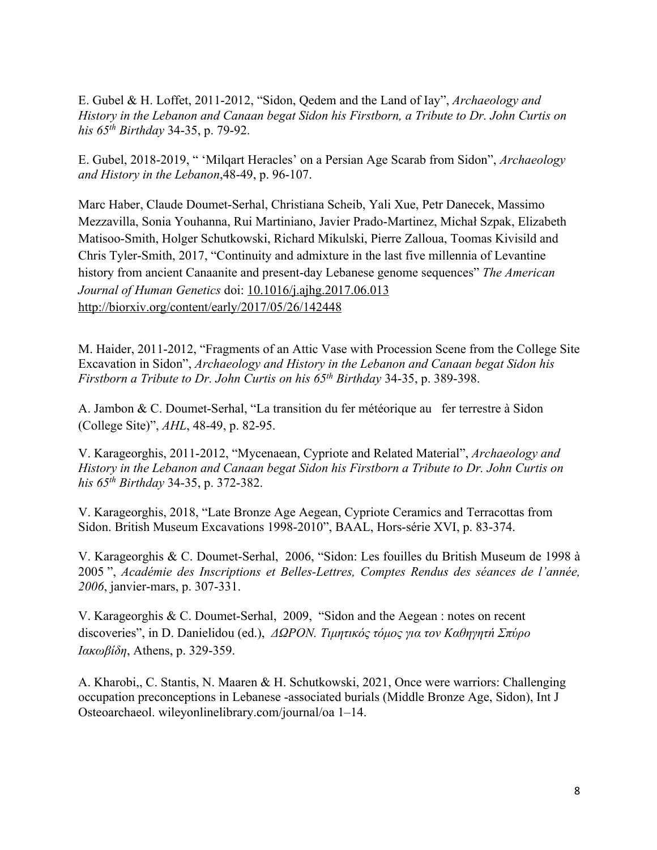E. Gubel & H. Loffet, 2011-2012, "Sidon, Qedem and the Land of Iay", *Archaeology and History in the Lebanon and Canaan begat Sidon his Firstborn, a Tribute to Dr. John Curtis on his 65th Birthday* 34-35, p. 79-92.

E. Gubel, 2018-2019, " 'Milqart Heracles' on a Persian Age Scarab from Sidon", *Archaeology and History in the Lebanon*,48-49, p. 96-107.

Marc Haber, Claude Doumet-Serhal, Christiana Scheib, Yali Xue, Petr Danecek, Massimo Mezzavilla, Sonia Youhanna, Rui Martiniano, Javier Prado-Martinez, Michał Szpak, Elizabeth Matisoo-Smith, Holger Schutkowski, Richard Mikulski, Pierre Zalloua, Toomas Kivisild and Chris Tyler-Smith, 2017, "Continuity and admixture in the last five millennia of Levantine history from ancient Canaanite and present-day Lebanese genome sequences" *The American Journal of Human Genetics* doi: 10.1016/j.ajhg.2017.06.013 http://biorxiv.org/content/early/2017/05/26/142448

M. Haider, 2011-2012, "Fragments of an Attic Vase with Procession Scene from the College Site Excavation in Sidon", *Archaeology and History in the Lebanon and Canaan begat Sidon his Firstborn a Tribute to Dr. John Curtis on his 65th Birthday* 34-35, p. 389-398.

A. Jambon & C. Doumet-Serhal, "La transition du fer météorique au fer terrestre à Sidon (College Site)", *AHL*, 48-49, p. 82-95.

V. Karageorghis, 2011-2012, "Mycenaean, Cypriote and Related Material", *Archaeology and History in the Lebanon and Canaan begat Sidon his Firstborn a Tribute to Dr. John Curtis on his 65th Birthday* 34-35, p. 372-382.

V. Karageorghis, 2018, "Late Bronze Age Aegean, Cypriote Ceramics and Terracottas from Sidon. British Museum Excavations 1998-2010", BAAL, Hors-série XVI, p. 83-374.

V. Karageorghis & C. Doumet-Serhal, 2006, "Sidon: Les fouilles du British Museum de 1998 à 2005 ", *Académie des Inscriptions et Belles-Lettres, Comptes Rendus des séances de l'année, 2006*, janvier-mars, p. 307-331.

V. Karageorghis & C. Doumet-Serhal, 2009, "Sidon and the Aegean : notes on recent discoveries", in D. Danielidou (ed.), *ΔΩΡΟΝ. Τιμητικóς τóμος για τον Καθηγητń Σπύρο Ιακωβίδη*, Athens, p. 329-359.

A. Kharobi,, C. Stantis, N. Maaren & H. Schutkowski, 2021, Once were warriors: Challenging occupation preconceptions in Lebanese -associated burials (Middle Bronze Age, Sidon), Int J Osteoarchaeol. wileyonlinelibrary.com/journal/oa 1–14.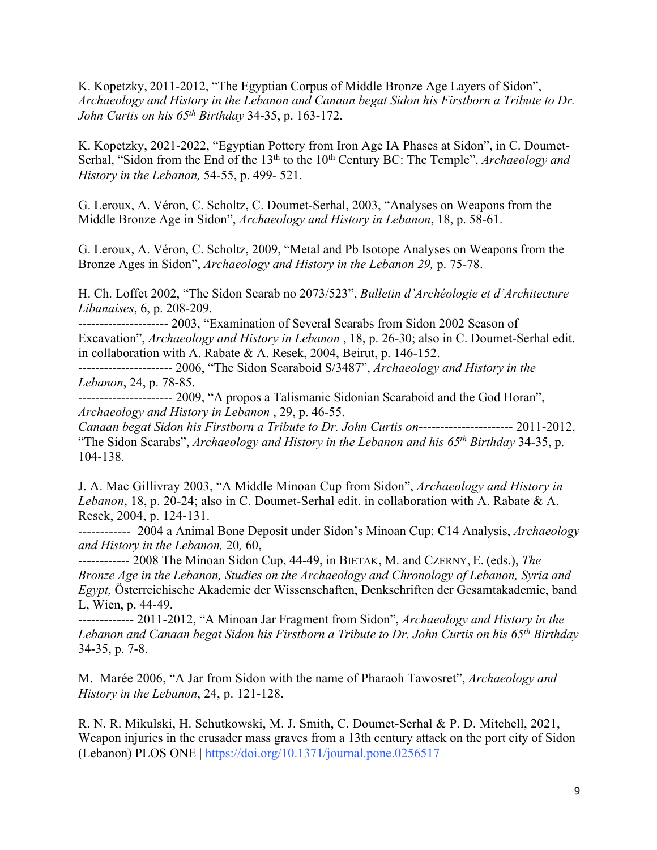K. Kopetzky, 2011-2012, "The Egyptian Corpus of Middle Bronze Age Layers of Sidon", *Archaeology and History in the Lebanon and Canaan begat Sidon his Firstborn a Tribute to Dr. John Curtis on his 65th Birthday* 34-35, p. 163-172.

K. Kopetzky, 2021-2022, "Egyptian Pottery from Iron Age IA Phases at Sidon", in C. Doumet-Serhal, "Sidon from the End of the 13<sup>th</sup> to the 10<sup>th</sup> Century BC: The Temple", *Archaeology and History in the Lebanon,* 54-55, p. 499- 521.

G. Leroux, A. Véron, C. Scholtz, C. Doumet-Serhal, 2003, "Analyses on Weapons from the Middle Bronze Age in Sidon", *Archaeology and History in Lebanon*, 18, p. 58-61.

G. Leroux, A. Véron, C. Scholtz, 2009, "Metal and Pb Isotope Analyses on Weapons from the Bronze Ages in Sidon", *Archaeology and History in the Lebanon 29,* p. 75-78.

H. Ch. Loffet 2002, "The Sidon Scarab no 2073/523", *Bulletin d'Archéologie et d'Architecture Libanaises*, 6, p. 208-209.

--------------------- 2003, "Examination of Several Scarabs from Sidon 2002 Season of Excavation", *Archaeology and History in Lebanon* , 18, p. 26-30; also in C. Doumet-Serhal edit. in collaboration with A. Rabate & A. Resek, 2004, Beirut, p. 146-152.

---------------------- 2006, "The Sidon Scaraboid S/3487", *Archaeology and History in the Lebanon*, 24, p. 78-85.

---------------------- 2009, "A propos a Talismanic Sidonian Scaraboid and the God Horan", *Archaeology and History in Lebanon* , 29, p. 46-55.

*Canaan begat Sidon his Firstborn a Tribute to Dr. John Curtis on*---------------------- 2011-2012, "The Sidon Scarabs", *Archaeology and History in the Lebanon and his 65th Birthday* 34-35, p. 104-138.

J. A. Mac Gillivray 2003, "A Middle Minoan Cup from Sidon", *Archaeology and History in Lebanon*, 18, p. 20-24; also in C. Doumet-Serhal edit. in collaboration with A. Rabate & A. Resek, 2004, p. 124-131.

------------ 2004 a Animal Bone Deposit under Sidon's Minoan Cup: C14 Analysis, *Archaeology and History in the Lebanon,* 20*,* 60,

------------ 2008 The Minoan Sidon Cup, 44-49, in BIETAK, M. and CZERNY, E. (eds.), *The Bronze Age in the Lebanon, Studies on the Archaeology and Chronology of Lebanon, Syria and Egypt,* Österreichische Akademie der Wissenschaften, Denkschriften der Gesamtakademie, band L, Wien, p. 44-49.

------------- 2011-2012, "A Minoan Jar Fragment from Sidon", *Archaeology and History in the Lebanon and Canaan begat Sidon his Firstborn a Tribute to Dr. John Curtis on his 65th Birthday* 34-35, p. 7-8.

M. Marée 2006, "A Jar from Sidon with the name of Pharaoh Tawosret", *Archaeology and History in the Lebanon*, 24, p. 121-128.

R. N. R. Mikulski, H. Schutkowski, M. J. Smith, C. Doumet-Serhal & P. D. Mitchell, 2021, Weapon injuries in the crusader mass graves from a 13th century attack on the port city of Sidon (Lebanon) PLOS ONE | https://doi.org/10.1371/journal.pone.0256517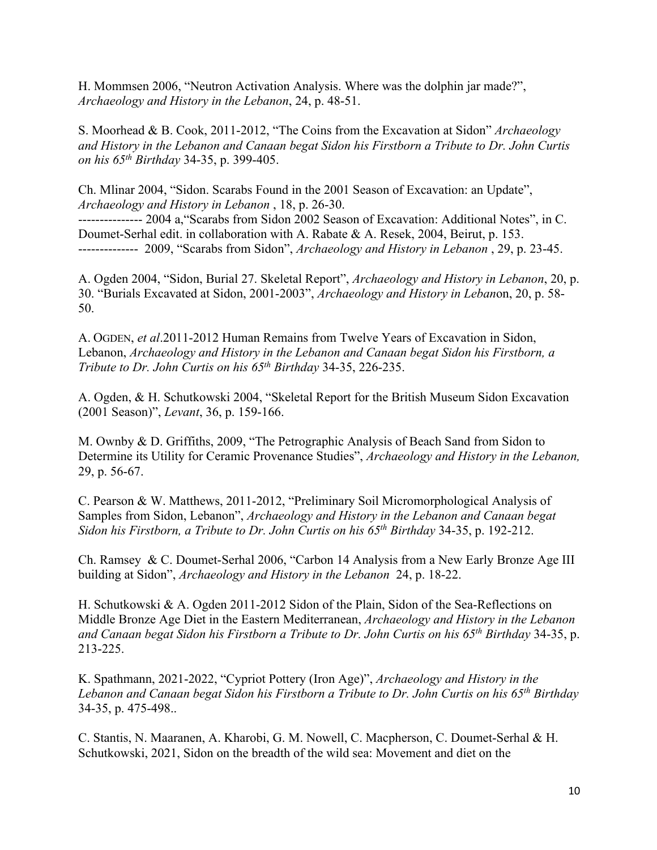H. Mommsen 2006, "Neutron Activation Analysis. Where was the dolphin jar made?", *Archaeology and History in the Lebanon*, 24, p. 48-51.

S. Moorhead & B. Cook, 2011-2012, "The Coins from the Excavation at Sidon" *Archaeology and History in the Lebanon and Canaan begat Sidon his Firstborn a Tribute to Dr. John Curtis on his 65th Birthday* 34-35, p. 399-405.

Ch. Mlinar 2004, "Sidon. Scarabs Found in the 2001 Season of Excavation: an Update", *Archaeology and History in Lebanon* , 18, p. 26-30.

--------------- 2004 a,"Scarabs from Sidon 2002 Season of Excavation: Additional Notes", in C. Doumet-Serhal edit. in collaboration with A. Rabate & A. Resek, 2004, Beirut, p. 153. -------------- 2009, "Scarabs from Sidon", *Archaeology and History in Lebanon* , 29, p. 23-45.

A. Ogden 2004, "Sidon, Burial 27. Skeletal Report", *Archaeology and History in Lebanon*, 20, p. 30. "Burials Excavated at Sidon, 2001-2003", *Archaeology and History in Leban*on, 20, p. 58- 50.

A. OGDEN, *et al*.2011-2012 Human Remains from Twelve Years of Excavation in Sidon, Lebanon, *Archaeology and History in the Lebanon and Canaan begat Sidon his Firstborn, a Tribute to Dr. John Curtis on his 65th Birthday* 34-35, 226-235.

A. Ogden, & H. Schutkowski 2004, "Skeletal Report for the British Museum Sidon Excavation (2001 Season)", *Levant*, 36, p. 159-166.

M. Ownby & D. Griffiths, 2009, "The Petrographic Analysis of Beach Sand from Sidon to Determine its Utility for Ceramic Provenance Studies", *Archaeology and History in the Lebanon,*  29, p. 56-67.

C. Pearson & W. Matthews, 2011-2012, "Preliminary Soil Micromorphological Analysis of Samples from Sidon, Lebanon", *Archaeology and History in the Lebanon and Canaan begat Sidon his Firstborn, a Tribute to Dr. John Curtis on his 65th Birthday* 34-35, p. 192-212.

Ch. Ramsey & C. Doumet-Serhal 2006, "Carbon 14 Analysis from a New Early Bronze Age III building at Sidon", *Archaeology and History in the Lebanon* 24, p. 18-22.

H. Schutkowski & A. Ogden 2011-2012 Sidon of the Plain, Sidon of the Sea-Reflections on Middle Bronze Age Diet in the Eastern Mediterranean, *Archaeology and History in the Lebanon and Canaan begat Sidon his Firstborn a Tribute to Dr. John Curtis on his 65th Birthday* 34-35, p. 213-225.

K. Spathmann, 2021-2022, "Cypriot Pottery (Iron Age)", *Archaeology and History in the Lebanon and Canaan begat Sidon his Firstborn a Tribute to Dr. John Curtis on his 65th Birthday* 34-35, p. 475-498..

C. Stantis, N. Maaranen, A. Kharobi, G. M. Nowell, C. Macpherson, C. Doumet-Serhal & H. Schutkowski, 2021, Sidon on the breadth of the wild sea: Movement and diet on the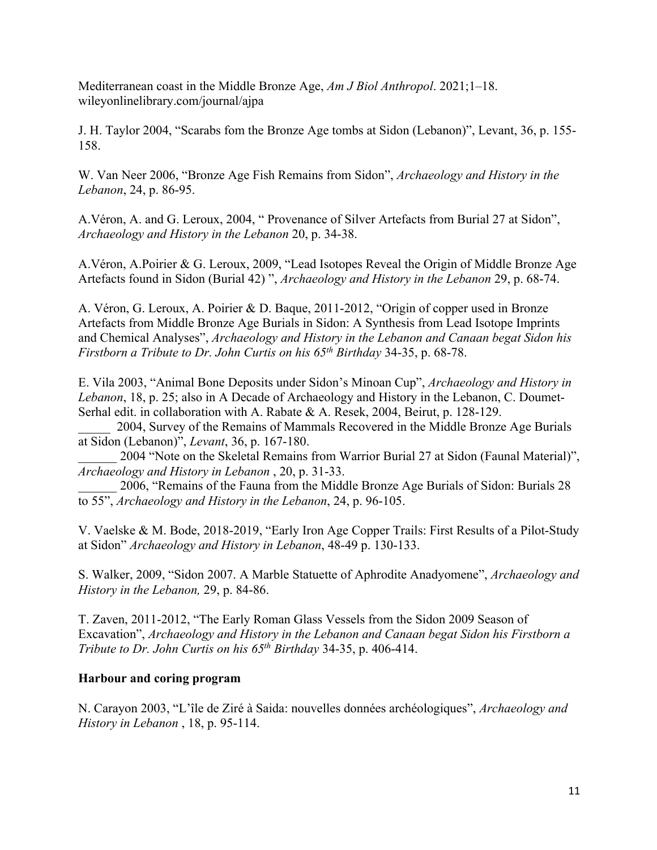Mediterranean coast in the Middle Bronze Age, *Am J Biol Anthropol*. 2021;1–18. wileyonlinelibrary.com/journal/ajpa

J. H. Taylor 2004, "Scarabs fom the Bronze Age tombs at Sidon (Lebanon)", Levant, 36, p. 155- 158.

W. Van Neer 2006, "Bronze Age Fish Remains from Sidon", *Archaeology and History in the Lebanon*, 24, p. 86-95.

A.Véron, A. and G. Leroux, 2004, " Provenance of Silver Artefacts from Burial 27 at Sidon", *Archaeology and History in the Lebanon* 20, p. 34-38.

A.Véron, A.Poirier & G. Leroux, 2009, "Lead Isotopes Reveal the Origin of Middle Bronze Age Artefacts found in Sidon (Burial 42) ", *Archaeology and History in the Lebanon* 29, p. 68-74.

A. Véron, G. Leroux, A. Poirier & D. Baque, 2011-2012, "Origin of copper used in Bronze Artefacts from Middle Bronze Age Burials in Sidon: A Synthesis from Lead Isotope Imprints and Chemical Analyses", *Archaeology and History in the Lebanon and Canaan begat Sidon his Firstborn a Tribute to Dr. John Curtis on his 65th Birthday* 34-35, p. 68-78.

E. Vila 2003, "Animal Bone Deposits under Sidon's Minoan Cup", *Archaeology and History in Lebanon*, 18, p. 25; also in A Decade of Archaeology and History in the Lebanon, C. Doumet-Serhal edit. in collaboration with A. Rabate & A. Resek, 2004, Beirut, p. 128-129.

\_\_\_\_\_ 2004, Survey of the Remains of Mammals Recovered in the Middle Bronze Age Burials at Sidon (Lebanon)", *Levant*, 36, p. 167-180.

2004 "Note on the Skeletal Remains from Warrior Burial 27 at Sidon (Faunal Material)", *Archaeology and History in Lebanon* , 20, p. 31-33.

\_\_\_\_\_\_ 2006, "Remains of the Fauna from the Middle Bronze Age Burials of Sidon: Burials 28 to 55", *Archaeology and History in the Lebanon*, 24, p. 96-105.

V. Vaelske & M. Bode, 2018-2019, "Early Iron Age Copper Trails: First Results of a Pilot-Study at Sidon" *Archaeology and History in Lebanon*, 48-49 p. 130-133.

S. Walker, 2009, "Sidon 2007. A Marble Statuette of Aphrodite Anadyomene", *Archaeology and History in the Lebanon,* 29, p. 84-86.

T. Zaven, 2011-2012, "The Early Roman Glass Vessels from the Sidon 2009 Season of Excavation", *Archaeology and History in the Lebanon and Canaan begat Sidon his Firstborn a Tribute to Dr. John Curtis on his 65th Birthday* 34-35, p. 406-414.

## **Harbour and coring program**

N. Carayon 2003, "L'île de Ziré à Saida: nouvelles données archéologiques", *Archaeology and History in Lebanon* , 18, p. 95-114.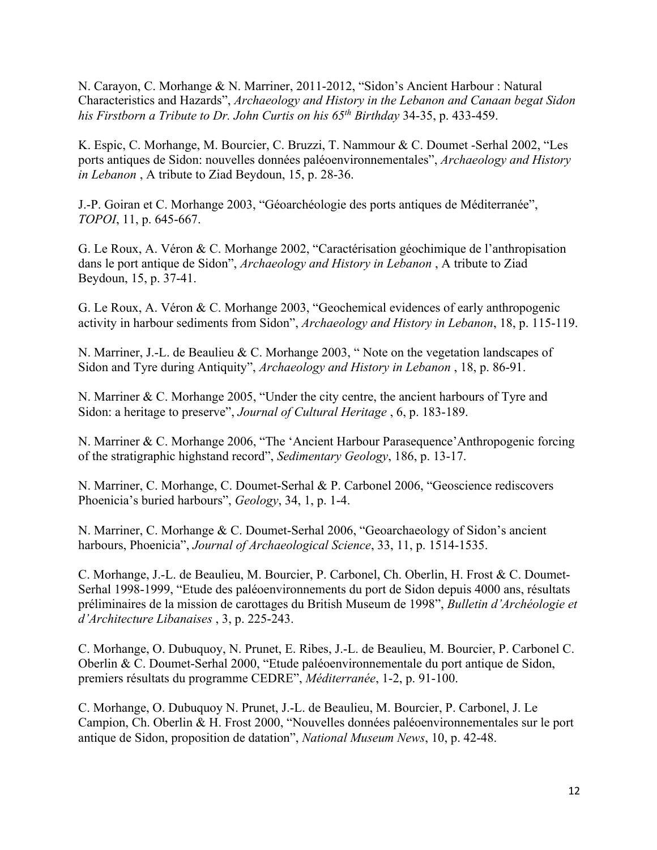N. Carayon, C. Morhange & N. Marriner, 2011-2012, "Sidon's Ancient Harbour : Natural Characteristics and Hazards", *Archaeology and History in the Lebanon and Canaan begat Sidon his Firstborn a Tribute to Dr. John Curtis on his 65th Birthday* 34-35, p. 433-459.

K. Espic, C. Morhange, M. Bourcier, C. Bruzzi, T. Nammour & C. Doumet -Serhal 2002, "Les ports antiques de Sidon: nouvelles données paléoenvironnementales", *Archaeology and History in Lebanon* , A tribute to Ziad Beydoun, 15, p. 28-36.

J.-P. Goiran et C. Morhange 2003, "Géoarchéologie des ports antiques de Méditerranée", *TOPOI*, 11, p. 645-667.

G. Le Roux, A. Véron & C. Morhange 2002, "Caractérisation géochimique de l'anthropisation dans le port antique de Sidon", *Archaeology and History in Lebanon* , A tribute to Ziad Beydoun, 15, p. 37-41.

G. Le Roux, A. Véron & C. Morhange 2003, "Geochemical evidences of early anthropogenic activity in harbour sediments from Sidon", *Archaeology and History in Lebanon*, 18, p. 115-119.

N. Marriner, J.-L. de Beaulieu & C. Morhange 2003, " Note on the vegetation landscapes of Sidon and Tyre during Antiquity", *Archaeology and History in Lebanon* , 18, p. 86-91.

N. Marriner & C. Morhange 2005, "Under the city centre, the ancient harbours of Tyre and Sidon: a heritage to preserve", *Journal of Cultural Heritage* , 6, p. 183-189.

N. Marriner & C. Morhange 2006, "The 'Ancient Harbour Parasequence'Anthropogenic forcing of the stratigraphic highstand record", *Sedimentary Geology*, 186, p. 13-17.

N. Marriner, C. Morhange, C. Doumet-Serhal & P. Carbonel 2006, "Geoscience rediscovers Phoenicia's buried harbours", *Geology*, 34, 1, p. 1-4.

N. Marriner, C. Morhange & C. Doumet-Serhal 2006, "Geoarchaeology of Sidon's ancient harbours, Phoenicia", *Journal of Archaeological Science*, 33, 11, p. 1514-1535.

C. Morhange, J.-L. de Beaulieu, M. Bourcier, P. Carbonel, Ch. Oberlin, H. Frost & C. Doumet-Serhal 1998-1999, "Etude des paléoenvironnements du port de Sidon depuis 4000 ans, résultats préliminaires de la mission de carottages du British Museum de 1998", *Bulletin d'Archéologie et d'Architecture Libanaises* , 3, p. 225-243.

C. Morhange, O. Dubuquoy, N. Prunet, E. Ribes, J.-L. de Beaulieu, M. Bourcier, P. Carbonel C. Oberlin & C. Doumet-Serhal 2000, "Etude paléoenvironnementale du port antique de Sidon, premiers résultats du programme CEDRE", *Méditerranée*, 1-2, p. 91-100.

C. Morhange, O. Dubuquoy N. Prunet, J.-L. de Beaulieu, M. Bourcier, P. Carbonel, J. Le Campion, Ch. Oberlin & H. Frost 2000, "Nouvelles données paléoenvironnementales sur le port antique de Sidon, proposition de datation", *National Museum News*, 10, p. 42-48.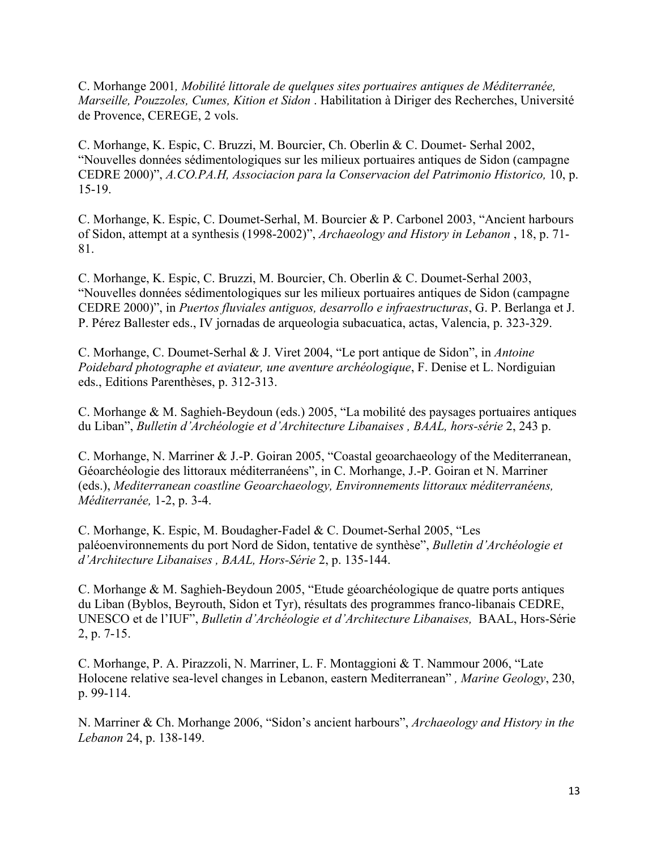C. Morhange 2001*, Mobilité littorale de quelques sites portuaires antiques de Méditerranée, Marseille, Pouzzoles, Cumes, Kition et Sidon* . Habilitation à Diriger des Recherches, Université de Provence, CEREGE, 2 vols.

C. Morhange, K. Espic, C. Bruzzi, M. Bourcier, Ch. Oberlin & C. Doumet- Serhal 2002, "Nouvelles données sédimentologiques sur les milieux portuaires antiques de Sidon (campagne CEDRE 2000)", *A.CO.PA.H, Associacion para la Conservacion del Patrimonio Historico,* 10, p. 15-19.

C. Morhange, K. Espic, C. Doumet-Serhal, M. Bourcier & P. Carbonel 2003, "Ancient harbours of Sidon, attempt at a synthesis (1998-2002)", *Archaeology and History in Lebanon* , 18, p. 71- 81.

C. Morhange, K. Espic, C. Bruzzi, M. Bourcier, Ch. Oberlin & C. Doumet-Serhal 2003, "Nouvelles données sédimentologiques sur les milieux portuaires antiques de Sidon (campagne CEDRE 2000)", in *Puertos fluviales antiguos, desarrollo e infraestructuras*, G. P. Berlanga et J. P. Pérez Ballester eds., IV jornadas de arqueologia subacuatica, actas, Valencia, p. 323-329.

C. Morhange, C. Doumet-Serhal & J. Viret 2004, "Le port antique de Sidon", in *Antoine Poidebard photographe et aviateur, une aventure archéologique*, F. Denise et L. Nordiguian eds., Editions Parenthèses, p. 312-313.

C. Morhange & M. Saghieh-Beydoun (eds.) 2005, "La mobilité des paysages portuaires antiques du Liban", *Bulletin d'Archéologie et d'Architecture Libanaises , BAAL, hors-série* 2, 243 p.

C. Morhange, N. Marriner & J.-P. Goiran 2005, "Coastal geoarchaeology of the Mediterranean, Géoarchéologie des littoraux méditerranéens", in C. Morhange, J.-P. Goiran et N. Marriner (eds.), *Mediterranean coastline Geoarchaeology, Environnements littoraux méditerranéens, Méditerranée,* 1-2, p. 3-4.

C. Morhange, K. Espic, M. Boudagher-Fadel & C. Doumet-Serhal 2005, "Les paléoenvironnements du port Nord de Sidon, tentative de synthèse", *Bulletin d'Archéologie et d'Architecture Libanaises , BAAL, Hors-Série* 2, p. 135-144.

C. Morhange & M. Saghieh-Beydoun 2005, "Etude géoarchéologique de quatre ports antiques du Liban (Byblos, Beyrouth, Sidon et Tyr), résultats des programmes franco-libanais CEDRE, UNESCO et de l'IUF", *Bulletin d'Archéologie et d'Architecture Libanaises,* BAAL, Hors-Série 2, p. 7-15.

C. Morhange, P. A. Pirazzoli, N. Marriner, L. F. Montaggioni & T. Nammour 2006, "Late Holocene relative sea-level changes in Lebanon, eastern Mediterranean" *, Marine Geology*, 230, p. 99-114.

N. Marriner & Ch. Morhange 2006, "Sidon's ancient harbours", *Archaeology and History in the Lebanon* 24, p. 138-149.